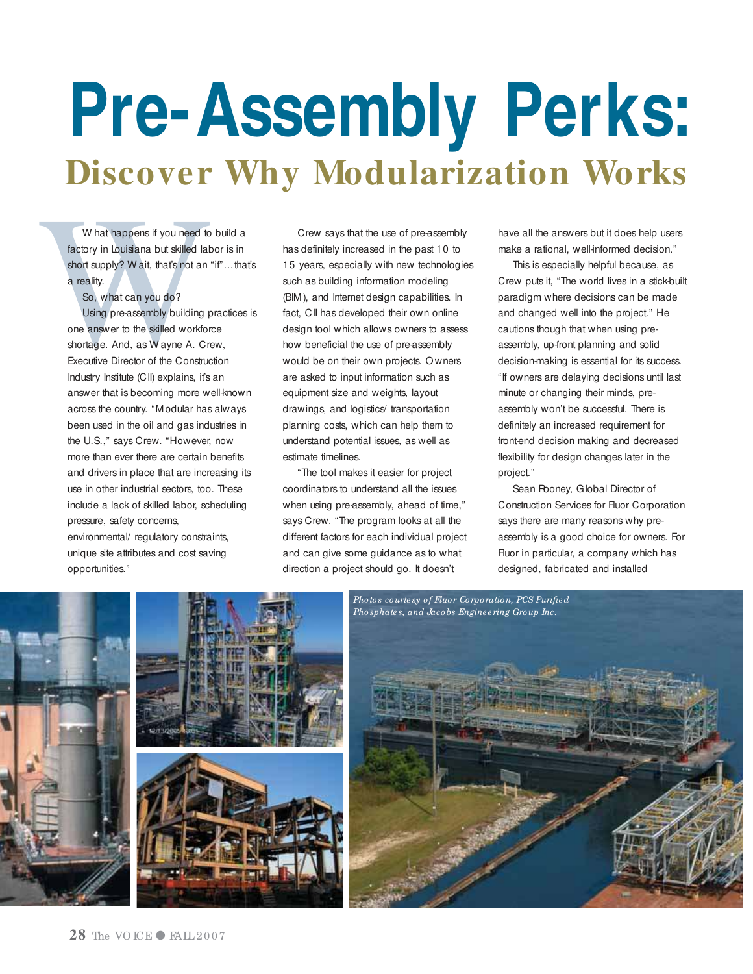# **Pre-Assembly Perks:**

W hat happens if you need to build a factory in Louisiana but skilled labor is in short supply? W ait, that's not an "if"... that's a reality.

So, what can you do?

Using pre-assembly building practices is one answer to the skilled workforce shortage. And, as W ayne A. Crew, Executive Director of the Construction Industry Institute (CII) explains, it's an answer that is becoming more well-known across the country. "Modular has always been used in the oil and gas industries in the U.S.," says Crew. "However, now more than ever there are certain benefits and drivers in place that are increasing its use in other industrial sectors, too. These include a lack of skilled labor, scheduling pressure, safety concerns, environmental/ regulatory constraints,

unique site attributes and cost saving opportunities."

**Discover Why Modularization Modular**<br>
What tappens if you need to build a<br>
factory in Louisiana but skilled tabor is in<br>
factory in Louisiana but skilled tabor is in<br>
factory in Louisiana but skilled tabor is in<br>
short su Crew says that the use of pre-assembly has definitely increased in the past 10 to 15 years, especially with new technologies such as building information modeling (BIM), and Internet design capabilities. In fact, CII has developed their own online design tool which allows owners to assess how beneficial the use of pre-assembly would be on their own projects. O wners are asked to input information such as equipment size and weights, layout drawings, and logistics/ transportation planning costs, which can help them to understand potential issues, as well as estimate timelines.

> "The tool makes it easier for project coordinators to understand all the issues when using pre-assembly, ahead of time," says Crew. "The program looks at all the different factors for each individual project and can give some guidance as to what direction a project should go. It doesn't

have all the answers but it does help users make a rational, well-informed decision."

This is especially helpful because, as Crew puts it, "The world lives in a stick-built paradigm where decisions can be made and changed well into the project." He cautions though that when using preassembly, up-front planning and solid decision-making is essential for its success. "If owners are delaying decisions until last minute or changing their minds, preassembly won't be successful. There is definitely an increased requirement for front-end decision making and decreased flexibility for design changes later in the project."

Sean Rooney, Global Director of Construction Services for Fluor Corporation says there are many reasons why preassembly is a good choice for owners. For Fluor in particular, a company which has designed, fabricated and installed

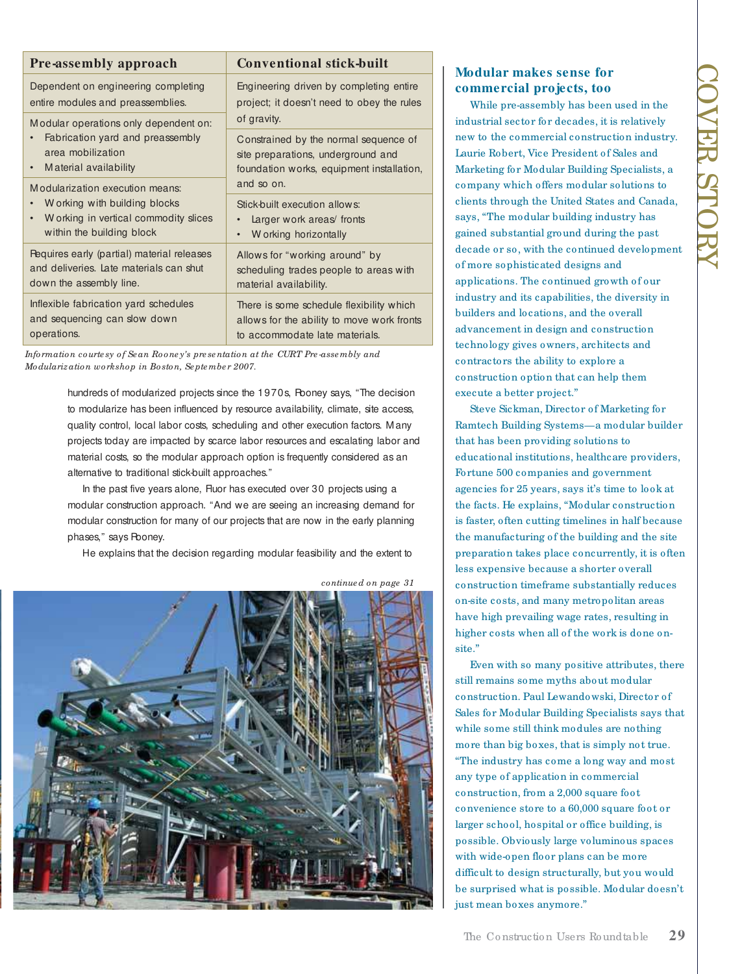| <b>Pre-assembly approach</b>                                                                                                           | <b>Conventional stick-built</b>                                                                                          |
|----------------------------------------------------------------------------------------------------------------------------------------|--------------------------------------------------------------------------------------------------------------------------|
| Dependent on engineering completing<br>entire modules and preassemblies.                                                               | Engineering driven by completing entire<br>project; it doesn't need to obey the rules<br>of gravity.                     |
| Modular operations only dependent on:<br>Fabrication yard and preassembly<br>area mobilization<br>Material availability<br>$\bullet$   |                                                                                                                          |
|                                                                                                                                        | Constrained by the normal sequence of<br>site preparations, underground and<br>foundation works, equipment installation, |
| Modularization execution means:<br>W orking with building blocks<br>W orking in vertical commodity slices<br>within the building block | and so on.                                                                                                               |
|                                                                                                                                        | Stick-built execution allows:<br>Larger work areas fronts<br>W orking horizontally<br>$\bullet$                          |
| Pequires early (partial) material releases<br>and deliveries. Late materials can shut<br>down the assembly line.                       | Allows for "working around" by<br>scheduling trades people to areas with<br>material availability.                       |
| Inflexible fabrication yard schedules<br>and sequencing can slow down<br>operations.                                                   | There is some schedule flexibility which<br>allows for the ability to move work fronts<br>to accommodate late materials. |
|                                                                                                                                        |                                                                                                                          |

*Information courte sy of Se an Roone y's pre se ntation at the CURT Pre -asse mbly and Modularization workshop in Boston, Se pte mbe r 2007.*

> hundreds of modularized projects since the 1970s, Rooney says, "The decision to modularize has been influenced by resource availability, climate, site access, quality control, local labor costs, scheduling and other execution factors. Many projects today are impacted by scarce labor resources and escalating labor and material costs, so the modular approach option is frequently considered as an alternative to traditional stick-built approaches."

In the past five years alone, Fluor has executed over 30 projects using a modular construction approach. "And we are seeing an increasing demand for modular construction for many of our projects that are now in the early planning phases," says Rooney.

He explains that the decision regarding modular feasibility and the extent to



*continue d on page 31*

# **Modular makes sense for commercial projects, too**

While pre-assembly has been used in the industrial sector for decades, it is relatively new to the commercial construction industry. Laurie Robert, Vice President of Sales and Marketing for Modular Building Specialists, a company which offers modular solutions to clients through the United States and Canada, says, "The modular building industry has gained substantial ground during the past decade or so, with the continued development of more sophisticated designs and applications. The continued growth of our industry and its capabilities, the diversity in builders and locations, and the overall advancement in design and construction technology gives owners, architects and contractors the ability to explore a construction option that can help them execute a better project."

Steve Sickman, Director of Marketing for Ramtech Building Systems—a modular builder that has been providing solutions to educational institutions, healthcare providers, Fortune 500 companies and government agencies for 25 years, says it's time to look at the facts. He explains, "Modular construction is faster, often cutting timelines in half because the manufacturing of the building and the site preparation takes place concurrently, it is often less expensive because a shorter overall construction timeframe substantially reduces on-site costs, and many metropolitan areas have high prevailing wage rates, resulting in higher costs when all of the work is done onsite."

Even with so many positive attributes, there still remains some myths about modular construction. Paul Lewandowski, Director of Sales for Modular Building Specialists says that while some still think modules are nothing more than big boxes, that is simply not true. "The industry has come a long way and most any type of application in commercial construction, from a 2,000 square foot convenience store to a 60,000 square foot or larger school, hospital or office building, is possible. Obviously large voluminous spaces with wide-open floor plans can be more difficult to design structurally, but you would be surprised what is possible. Modular doesn't just mean boxes anymore."